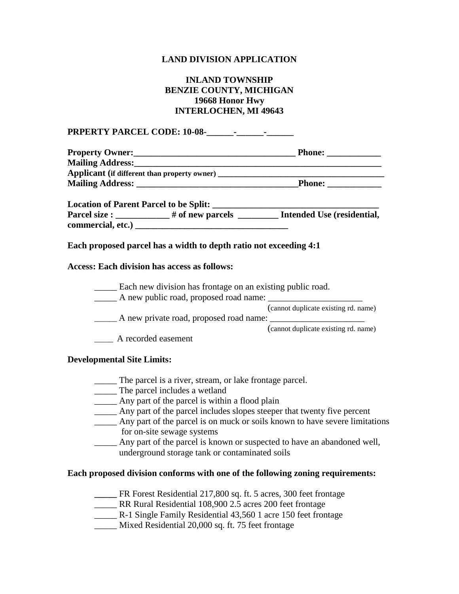## **LAND DIVISION APPLICATION**

## **INLAND TOWNSHIP BENZIE COUNTY, MICHIGAN 19668 Honor Hwy INTERLOCHEN, MI 49643**

**PRPERTY PARCEL CODE: 10-08-\_\_\_\_\_\_-\_\_\_\_\_\_-\_\_\_\_\_\_ Property Owner:\_\_\_\_\_\_\_\_\_\_\_\_\_\_\_\_\_\_\_\_\_\_\_\_\_\_\_\_\_\_\_\_\_\_\_\_ Phone: \_\_\_\_\_\_\_\_\_\_\_\_ Mailing Address:\_\_\_\_\_\_\_\_\_\_\_\_\_\_\_\_\_\_\_\_\_\_\_\_\_\_\_\_\_\_\_\_\_\_\_\_\_\_\_\_\_\_\_\_\_\_\_\_\_\_\_\_\_\_\_ Applicant (if different than property owner) \_\_\_\_\_\_\_\_\_\_\_\_\_\_\_\_\_\_\_\_\_\_\_\_\_\_\_\_\_\_\_\_\_\_\_\_\_ Mailing Address: \_\_\_\_\_\_\_\_\_\_\_\_\_\_\_\_\_\_\_\_\_\_\_\_\_\_\_\_\_\_\_\_\_\_\_\_Phone: \_\_\_\_\_\_\_\_\_\_\_\_ Location of Parent Parcel to be Split: \_\_\_\_\_\_\_\_\_\_\_\_\_\_\_\_\_\_\_\_\_\_\_\_\_\_\_\_\_\_\_\_\_\_\_\_\_** Parcel size : \_\_\_\_\_\_\_\_\_\_\_# of new parcels \_\_\_\_\_\_\_\_\_ Intended Use (residential, **commercial, etc.) \_\_\_\_\_\_\_\_\_\_\_\_\_\_\_\_\_\_\_\_\_\_\_\_\_\_\_\_\_\_\_\_\_\_ Each proposed parcel has a width to depth ratio not exceeding 4:1 Access: Each division has access as follows:** \_\_\_\_\_ Each new division has frontage on an existing public road. \_\_\_\_\_ A new public road, proposed road name: \_\_\_\_\_\_\_\_\_\_\_\_\_\_\_\_\_\_\_\_\_ (cannot duplicate existing rd. name) \_\_\_\_\_\_ A new private road, proposed road name: \_\_\_\_\_\_\_\_\_\_\_\_\_\_\_\_\_\_\_\_\_ (cannot duplicate existing rd. name) \_\_\_\_\_ A recorded easement **Developmental Site Limits:** The parcel is a river, stream, or lake frontage parcel. \_\_\_\_\_ The parcel includes a wetland

- \_\_\_\_\_ Any part of the parcel is within a flood plain
- \_\_\_\_\_ Any part of the parcel includes slopes steeper that twenty five percent
- \_\_\_\_\_ Any part of the parcel is on muck or soils known to have severe limitations for on-site sewage systems
- Any part of the parcel is known or suspected to have an abandoned well, underground storage tank or contaminated soils

## **Each proposed division conforms with one of the following zoning requirements:**

- **\_\_\_\_\_** FR Forest Residential 217,800 sq. ft. 5 acres, 300 feet frontage
- \_\_\_\_\_ RR Rural Residential 108,900 2.5 acres 200 feet frontage
- \_\_\_\_\_ R-1 Single Family Residential 43,560 1 acre 150 feet frontage
- \_\_\_\_\_ Mixed Residential 20,000 sq. ft. 75 feet frontage